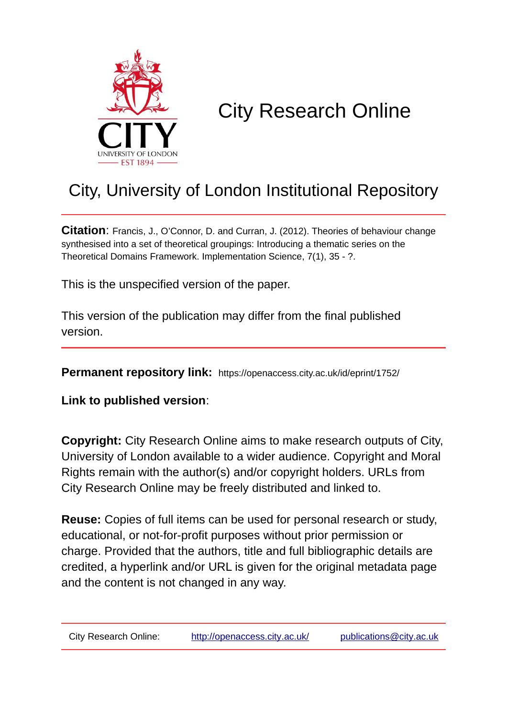

# City Research Online

## City, University of London Institutional Repository

**Citation**: Francis, J., O'Connor, D. and Curran, J. (2012). Theories of behaviour change synthesised into a set of theoretical groupings: Introducing a thematic series on the Theoretical Domains Framework. Implementation Science, 7(1), 35 - ?.

This is the unspecified version of the paper.

This version of the publication may differ from the final published version.

**Permanent repository link:** https://openaccess.city.ac.uk/id/eprint/1752/

**Link to published version**:

**Copyright:** City Research Online aims to make research outputs of City, University of London available to a wider audience. Copyright and Moral Rights remain with the author(s) and/or copyright holders. URLs from City Research Online may be freely distributed and linked to.

**Reuse:** Copies of full items can be used for personal research or study, educational, or not-for-profit purposes without prior permission or charge. Provided that the authors, title and full bibliographic details are credited, a hyperlink and/or URL is given for the original metadata page and the content is not changed in any way.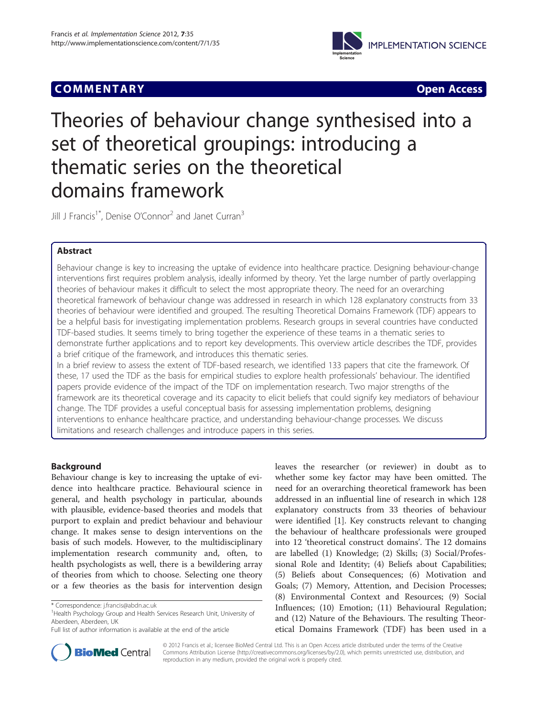## **COMMENTARY COMMENTARY COMMENTARY**



## Theories of behaviour change synthesised into a set of theoretical groupings: introducing a thematic series on the theoretical domains framework

Jill J Francis<sup>1\*</sup>, Denise O'Connor<sup>2</sup> and Janet Curran<sup>3</sup>

## Abstract

Behaviour change is key to increasing the uptake of evidence into healthcare practice. Designing behaviour-change interventions first requires problem analysis, ideally informed by theory. Yet the large number of partly overlapping theories of behaviour makes it difficult to select the most appropriate theory. The need for an overarching theoretical framework of behaviour change was addressed in research in which 128 explanatory constructs from 33 theories of behaviour were identified and grouped. The resulting Theoretical Domains Framework (TDF) appears to be a helpful basis for investigating implementation problems. Research groups in several countries have conducted TDF-based studies. It seems timely to bring together the experience of these teams in a thematic series to demonstrate further applications and to report key developments. This overview article describes the TDF, provides a brief critique of the framework, and introduces this thematic series.

In a brief review to assess the extent of TDF-based research, we identified 133 papers that cite the framework. Of these, 17 used the TDF as the basis for empirical studies to explore health professionals' behaviour. The identified papers provide evidence of the impact of the TDF on implementation research. Two major strengths of the framework are its theoretical coverage and its capacity to elicit beliefs that could signify key mediators of behaviour change. The TDF provides a useful conceptual basis for assessing implementation problems, designing interventions to enhance healthcare practice, and understanding behaviour-change processes. We discuss limitations and research challenges and introduce papers in this series.

## Background

Behaviour change is key to increasing the uptake of evidence into healthcare practice. Behavioural science in general, and health psychology in particular, abounds with plausible, evidence-based theories and models that purport to explain and predict behaviour and behaviour change. It makes sense to design interventions on the basis of such models. However, to the multidisciplinary implementation research community and, often, to health psychologists as well, there is a bewildering array of theories from which to choose. Selecting one theory or a few theories as the basis for intervention design

leaves the researcher (or reviewer) in doubt as to whether some key factor may have been omitted. The need for an overarching theoretical framework has been addressed in an influential line of research in which 128 explanatory constructs from 33 theories of behaviour were identified [\[1](#page-8-0)]. Key constructs relevant to changing the behaviour of healthcare professionals were grouped into 12 'theoretical construct domains'. The 12 domains are labelled (1) Knowledge; (2) Skills; (3) Social/Professional Role and Identity; (4) Beliefs about Capabilities; (5) Beliefs about Consequences; (6) Motivation and Goals; (7) Memory, Attention, and Decision Processes; (8) Environmental Context and Resources; (9) Social Influences; (10) Emotion; (11) Behavioural Regulation; and (12) Nature of the Behaviours. The resulting Theoretical Domains Framework (TDF) has been used in a



© 2012 Francis et al.; licensee BioMed Central Ltd. This is an Open Access article distributed under the terms of the Creative Commons Attribution License [\(http://creativecommons.org/licenses/by/2.0\)](http://creativecommons.org/licenses/by/2.0), which permits unrestricted use, distribution, and reproduction in any medium, provided the original work is properly cited.

<sup>\*</sup> Correspondence: [j.francis@abdn.ac.uk](mailto:j.francis@abdn.ac.uk) <sup>1</sup>

<sup>&</sup>lt;sup>1</sup>Health Psychology Group and Health Services Research Unit, University of Aberdeen, Aberdeen, UK

Full list of author information is available at the end of the article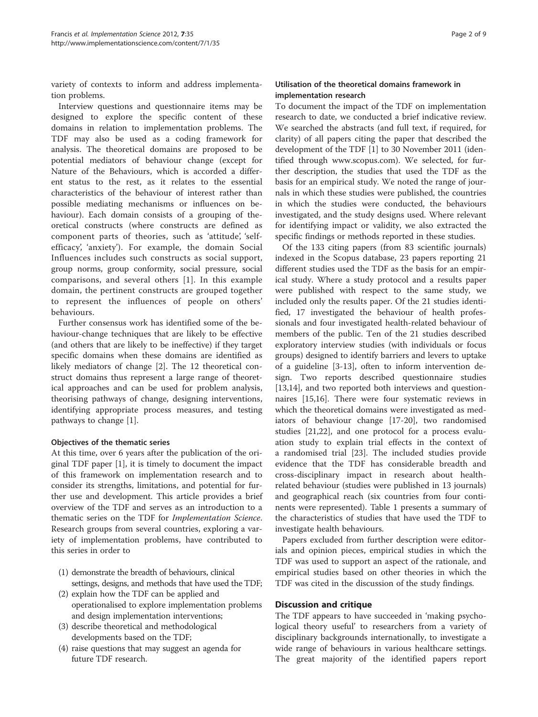variety of contexts to inform and address implementation problems.

Interview questions and questionnaire items may be designed to explore the specific content of these domains in relation to implementation problems. The TDF may also be used as a coding framework for analysis. The theoretical domains are proposed to be potential mediators of behaviour change (except for Nature of the Behaviours, which is accorded a different status to the rest, as it relates to the essential characteristics of the behaviour of interest rather than possible mediating mechanisms or influences on behaviour). Each domain consists of a grouping of theoretical constructs (where constructs are defined as component parts of theories, such as 'attitude', 'selfefficacy', 'anxiety'). For example, the domain Social Influences includes such constructs as social support, group norms, group conformity, social pressure, social comparisons, and several others [[1](#page-8-0)]. In this example domain, the pertinent constructs are grouped together to represent the influences of people on others' behaviours.

Further consensus work has identified some of the behaviour-change techniques that are likely to be effective (and others that are likely to be ineffective) if they target specific domains when these domains are identified as likely mediators of change [[2](#page-8-0)]. The 12 theoretical construct domains thus represent a large range of theoretical approaches and can be used for problem analysis, theorising pathways of change, designing interventions, identifying appropriate process measures, and testing pathways to change [\[1](#page-8-0)].

#### Objectives of the thematic series

At this time, over 6 years after the publication of the original TDF paper [[1\]](#page-8-0), it is timely to document the impact of this framework on implementation research and to consider its strengths, limitations, and potential for further use and development. This article provides a brief overview of the TDF and serves as an introduction to a thematic series on the TDF for Implementation Science. Research groups from several countries, exploring a variety of implementation problems, have contributed to this series in order to

- (1) demonstrate the breadth of behaviours, clinical settings, designs, and methods that have used the TDF;
- (2) explain how the TDF can be applied and operationalised to explore implementation problems and design implementation interventions;
- (3) describe theoretical and methodological developments based on the TDF;
- (4) raise questions that may suggest an agenda for future TDF research.

#### Utilisation of the theoretical domains framework in implementation research

To document the impact of the TDF on implementation research to date, we conducted a brief indicative review. We searched the abstracts (and full text, if required, for clarity) of all papers citing the paper that described the development of the TDF [\[1](#page-8-0)] to 30 November 2011 (identified through [www.scopus.com\)](http://www.scopus.com). We selected, for further description, the studies that used the TDF as the basis for an empirical study. We noted the range of journals in which these studies were published, the countries in which the studies were conducted, the behaviours investigated, and the study designs used. Where relevant for identifying impact or validity, we also extracted the specific findings or methods reported in these studies.

Of the 133 citing papers (from 83 scientific journals) indexed in the Scopus database, 23 papers reporting 21 different studies used the TDF as the basis for an empirical study. Where a study protocol and a results paper were published with respect to the same study, we included only the results paper. Of the 21 studies identified, 17 investigated the behaviour of health professionals and four investigated health-related behaviour of members of the public. Ten of the 21 studies described exploratory interview studies (with individuals or focus groups) designed to identify barriers and levers to uptake of a guideline [\[3](#page-8-0)-[13\]](#page-8-0), often to inform intervention design. Two reports described questionnaire studies [[13,14\]](#page-8-0), and two reported both interviews and questionnaires [[15](#page-8-0),[16](#page-8-0)]. There were four systematic reviews in which the theoretical domains were investigated as mediators of behaviour change [[17-20](#page-8-0)], two randomised studies [\[21,22\]](#page-8-0), and one protocol for a process evaluation study to explain trial effects in the context of a randomised trial [\[23](#page-8-0)]. The included studies provide evidence that the TDF has considerable breadth and cross-disciplinary impact in research about healthrelated behaviour (studies were published in 13 journals) and geographical reach (six countries from four continents were represented). Table [1](#page-3-0) presents a summary of the characteristics of studies that have used the TDF to investigate health behaviours.

Papers excluded from further description were editorials and opinion pieces, empirical studies in which the TDF was used to support an aspect of the rationale, and empirical studies based on other theories in which the TDF was cited in the discussion of the study findings.

#### Discussion and critique

The TDF appears to have succeeded in 'making psychological theory useful' to researchers from a variety of disciplinary backgrounds internationally, to investigate a wide range of behaviours in various healthcare settings. The great majority of the identified papers report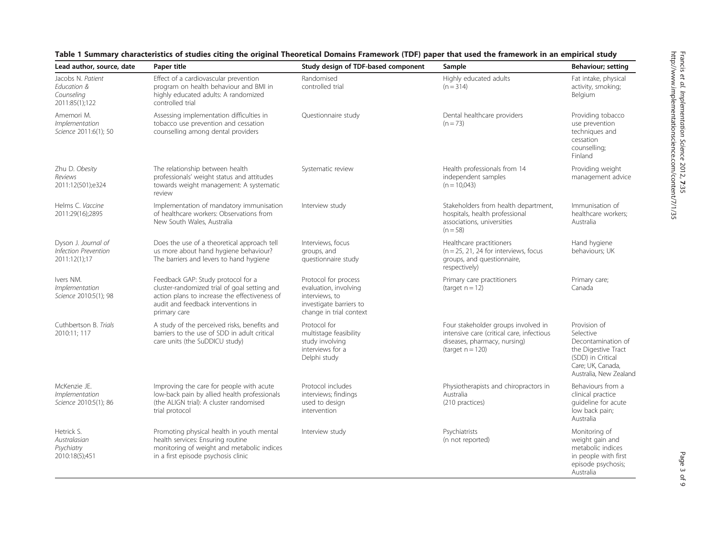et al. Implementation Science

| Lead author, source, date                                        | Paper title                                                                                                                                                                                | Study design of TDF-based component                                                                                   | Sample                                                                                                                                                                                                                                                                                | Behaviour; setting                                                                                               |
|------------------------------------------------------------------|--------------------------------------------------------------------------------------------------------------------------------------------------------------------------------------------|-----------------------------------------------------------------------------------------------------------------------|---------------------------------------------------------------------------------------------------------------------------------------------------------------------------------------------------------------------------------------------------------------------------------------|------------------------------------------------------------------------------------------------------------------|
| Jacobs N. Patient<br>Education &<br>Counseling<br>2011:85(1);122 | Effect of a cardiovascular prevention<br>program on health behaviour and BMI in<br>highly educated adults: A randomized<br>controlled trial                                                | Randomised<br>controlled trial                                                                                        | Highly educated adults<br>$(n = 314)$                                                                                                                                                                                                                                                 | Fat intake, physical<br>activity, smoking;<br>Belgium                                                            |
| Amemori M.<br>Implementation<br>Science 2011:6(1); 50            | Assessing implementation difficulties in<br>tobacco use prevention and cessation<br>counselling among dental providers                                                                     | Questionnaire study                                                                                                   | Dental healthcare providers<br>$(n = 73)$                                                                                                                                                                                                                                             | Providing tobacco<br>use prevention<br>techniques and<br>cessation<br>counselling;<br>Finland                    |
| Zhu D. Obesity<br>Reviews<br>2011:12(501);e324                   | The relationship between health<br>professionals' weight status and attitudes<br>towards weight management: A systematic<br>review                                                         | Systematic review                                                                                                     | Health professionals from 14<br>independent samples<br>$(n = 10,043)$                                                                                                                                                                                                                 | Providing weight<br>management advice                                                                            |
| Helms C. Vaccine<br>2011:29(16);2895                             | Implementation of mandatory immunisation<br>of healthcare workers: Observations from<br>New South Wales, Australia                                                                         | Interview study                                                                                                       | Stakeholders from health department,<br>hospitals, health professional<br>associations, universities<br>$(n = 58)$                                                                                                                                                                    | Immunisation of<br>healthcare workers;<br>Australia                                                              |
| Dyson J. Journal of<br>Infection Prevention<br>2011:12(1);17     | Does the use of a theoretical approach tell<br>us more about hand hygiene behaviour?<br>The barriers and levers to hand hygiene                                                            | Interviews, focus<br>groups, and<br>questionnaire study                                                               | Healthcare practitioners<br>$(n = 25, 21, 24$ for interviews, focus<br>groups, and questionnaire,<br>respectively)                                                                                                                                                                    | Hand hygiene<br>behaviours; UK                                                                                   |
| Ivers NM.<br>Implementation<br>Science 2010:5(1); 98             | Feedback GAP: Study protocol for a<br>cluster-randomized trial of goal setting and<br>action plans to increase the effectiveness of<br>audit and feedback interventions in<br>primary care | Protocol for process<br>evaluation, involving<br>interviews, to<br>investigate barriers to<br>change in trial context | Primary care practitioners<br>$(target n = 12)$                                                                                                                                                                                                                                       | Primary care;<br>Canada                                                                                          |
| Cuthbertson B. Trials<br>2010:11:117                             | A study of the perceived risks, benefits and<br>barriers to the use of SDD in adult critical<br>care units (the SuDDICU study)                                                             | Protocol for<br>multistage feasibility<br>study involving<br>interviews for a<br>Delphi study                         | Provision of<br>Four stakeholder groups involved in<br>intensive care (critical care, infectious<br>Selective<br>diseases, pharmacy, nursing)<br>Decontamination of<br>(target $n = 120$ )<br>the Digestive Tract<br>(SDD) in Critical<br>Care; UK, Canada,<br>Australia. New Zealand |                                                                                                                  |
| McKenzie JE.<br>Implementation<br>Science 2010:5(1); 86          | Improving the care for people with acute<br>low-back pain by allied health professionals<br>(the ALIGN trial): A cluster randomised<br>trial protocol                                      | Protocol includes<br>interviews; findings<br>used to design<br>intervention                                           | Physiotherapists and chiropractors in<br>Australia<br>(210 practices)                                                                                                                                                                                                                 | Behaviours from a<br>clinical practice<br>quideline for acute<br>low back pain;<br>Australia                     |
| Hetrick S.<br>Australasian<br>Psychiatry<br>2010:18(5);451       | Promoting physical health in youth mental<br>health services: Ensuring routine<br>monitoring of weight and metabolic indices<br>in a first episode psychosis clinic                        | Interview study                                                                                                       | Psychiatrists<br>(n not reported)                                                                                                                                                                                                                                                     | Monitoring of<br>weight gain and<br>metabolic indices<br>in people with first<br>episode psychosis;<br>Australia |

## <span id="page-3-0"></span>Table <sup>1</sup> Summary characteristics of studies citing the original Theoretical Domains Framework (TDF) paper that used the framework in an empirical study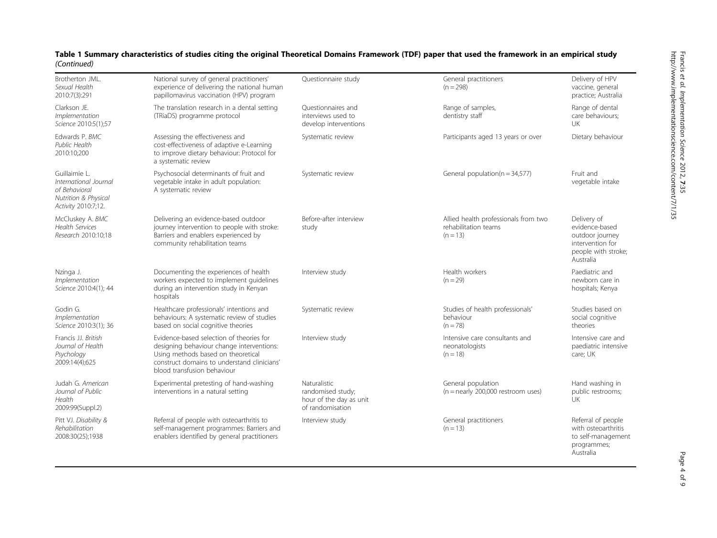| Brotherton JML.<br>Sexual Health<br>2010:7(3):291                                                      | National survey of general practitioners'<br>experience of delivering the national human<br>papillomavirus vaccination (HPV) program                                                                      | Questionnaire study                                                              | General practitioners<br>$(n = 298)$                                       | Delivery of HPV<br>vaccine, general<br>practice; Australia                                               |
|--------------------------------------------------------------------------------------------------------|-----------------------------------------------------------------------------------------------------------------------------------------------------------------------------------------------------------|----------------------------------------------------------------------------------|----------------------------------------------------------------------------|----------------------------------------------------------------------------------------------------------|
| Clarkson JE.<br>Implementation<br>Science 2010:5(1);57                                                 | The translation research in a dental setting<br>(TRiaDS) programme protocol                                                                                                                               | Ouestionnaires and<br>interviews used to<br>develop interventions                | Range of samples,<br>dentistry staff                                       | Range of dental<br>care behaviours;<br>UK                                                                |
| Edwards P. BMC<br>Public Health<br>2010:10:200                                                         | Assessing the effectiveness and<br>cost-effectiveness of adaptive e-Learning<br>to improve dietary behaviour: Protocol for<br>a systematic review                                                         | Systematic review                                                                | Participants aged 13 years or over                                         | Dietary behaviour                                                                                        |
| Guillaimie L.<br>International Journal<br>of Behavioral<br>Nutrition & Physical<br>Activity 2010:7;12. | Psychosocial determinants of fruit and<br>vegetable intake in adult population:<br>A systematic review                                                                                                    | Systematic review                                                                | General population( $n = 34,577$ )                                         | Fruit and<br>vegetable intake                                                                            |
| McCluskey A. BMC<br><b>Health Services</b><br>Research 2010:10;18                                      | Delivering an evidence-based outdoor<br>journey intervention to people with stroke:<br>Barriers and enablers experienced by<br>community rehabilitation teams                                             | Before-after interview<br>study                                                  | Allied health professionals from two<br>rehabilitation teams<br>$(n = 13)$ | Delivery of<br>evidence-based<br>outdoor journey<br>intervention for<br>people with stroke;<br>Australia |
| Nzinga J.<br>Implementation<br>Science 2010:4(1); 44                                                   | Documenting the experiences of health<br>workers expected to implement quidelines<br>during an intervention study in Kenyan<br>hospitals                                                                  | Interview study                                                                  | Health workers<br>$(n = 29)$                                               | Paediatric and<br>newborn care in<br>hospitals; Kenya                                                    |
| Godin G.<br>Implementation<br>Science 2010:3(1); 36                                                    | Healthcare professionals' intentions and<br>behaviours: A systematic review of studies<br>based on social cognitive theories                                                                              | Systematic review                                                                | Studies of health professionals'<br>behaviour<br>$(n = 78)$                | Studies based on<br>social cognitive<br>theories                                                         |
| Francis JJ, British<br>Journal of Health<br>Psychology<br>2009:14(4);625                               | Evidence-based selection of theories for<br>designing behaviour change interventions:<br>Using methods based on theoretical<br>construct domains to understand clinicians'<br>blood transfusion behaviour | Interview study                                                                  | Intensive care consultants and<br>neonatologists<br>$(n = 18)$             | Intensive care and<br>paediatric intensive<br>care; UK                                                   |
| Judah G. American<br>Journal of Public<br>Health<br>2009:99(Suppl.2)                                   | Experimental pretesting of hand-washing<br>interventions in a natural setting                                                                                                                             | Naturalistic<br>randomised study;<br>hour of the day as unit<br>of randomisation | General population<br>$(n = nearly 200,000$ restroom uses)                 | Hand washing in<br>public restrooms;<br>UK                                                               |
| Pitt VJ. Disability &<br>Rehabilitation<br>2008:30(25);1938                                            | Referral of people with osteoarthritis to<br>self-management programmes: Barriers and<br>enablers identified by general practitioners                                                                     | Interview study                                                                  | General practitioners<br>$(n = 13)$                                        | Referral of people<br>with osteoarthritis<br>to self-management<br>programmes;<br>Australia              |

### Table <sup>1</sup> Summary characteristics of studies citing the original Theoretical Domains Framework (TDF) paper that used the framework in an empirical study (Continued)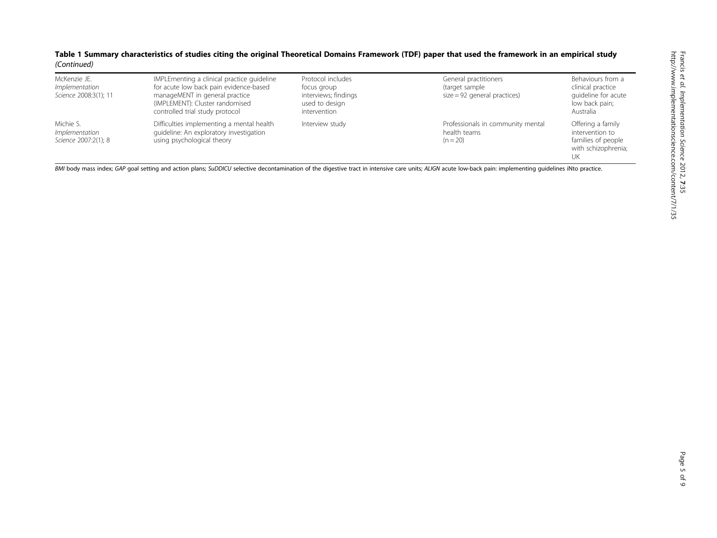#### Table <sup>1</sup> Summary characteristics of studies citing the original Theoretical Domains Framework (TDF) paper that used the framework in an empirical study (Continued)

| McKenzie JE.<br>Implementation<br>Science 2008:3(1); 11 | IMPLEmenting a clinical practice quideline<br>for acute low back pain evidence-based<br>manageMENT in general practice<br>(IMPLEMENT): Cluster randomised<br>controlled trial study protocol | Protocol includes<br>focus group<br>interviews; findings<br>used to design<br>intervention | General practitioners<br>(target sample<br>$size = 92$ general practices) | Behaviours from a<br>clinical practice<br>quideline for acute<br>low back pain;<br>Australia |
|---------------------------------------------------------|----------------------------------------------------------------------------------------------------------------------------------------------------------------------------------------------|--------------------------------------------------------------------------------------------|---------------------------------------------------------------------------|----------------------------------------------------------------------------------------------|
| Michie S.<br>Implementation<br>Science 2007:2(1); 8     | Difficulties implementing a mental health<br>quideline: An exploratory investigation<br>using psychological theory                                                                           | Interview study                                                                            | Professionals in community mental<br>health teams<br>$(n = 20)$           | Offering a family<br>intervention to<br>families of people<br>with schizophrenia;            |

BMI body mass index; GAP goal setting and action plans; SuDDICU selective decontamination of the digestive tract in intensive care units; ALIGN acute low-back pain: implementing guidelines iNto practice.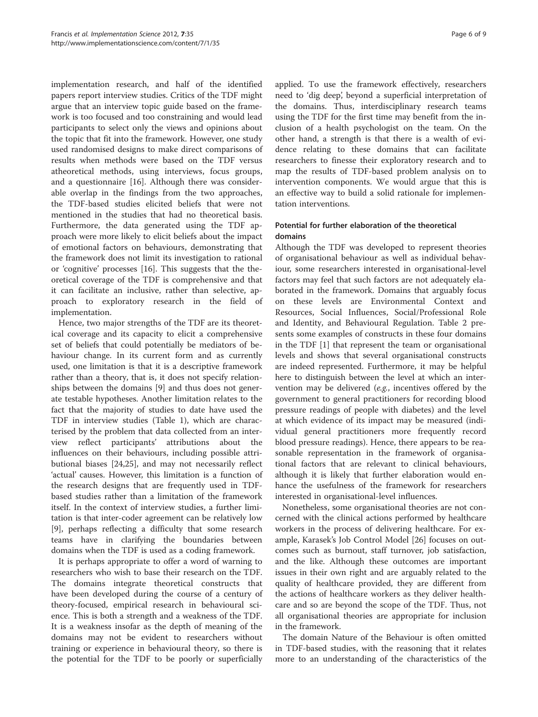implementation research, and half of the identified papers report interview studies. Critics of the TDF might argue that an interview topic guide based on the framework is too focused and too constraining and would lead participants to select only the views and opinions about the topic that fit into the framework. However, one study used randomised designs to make direct comparisons of results when methods were based on the TDF versus atheoretical methods, using interviews, focus groups, and a questionnaire [[16\]](#page-8-0). Although there was considerable overlap in the findings from the two approaches, the TDF-based studies elicited beliefs that were not mentioned in the studies that had no theoretical basis. Furthermore, the data generated using the TDF approach were more likely to elicit beliefs about the impact of emotional factors on behaviours, demonstrating that the framework does not limit its investigation to rational or 'cognitive' processes [\[16\]](#page-8-0). This suggests that the theoretical coverage of the TDF is comprehensive and that it can facilitate an inclusive, rather than selective, approach to exploratory research in the field of implementation.

Hence, two major strengths of the TDF are its theoretical coverage and its capacity to elicit a comprehensive set of beliefs that could potentially be mediators of behaviour change. In its current form and as currently used, one limitation is that it is a descriptive framework rather than a theory, that is, it does not specify relationships between the domains [\[9\]](#page-8-0) and thus does not generate testable hypotheses. Another limitation relates to the fact that the majority of studies to date have used the TDF in interview studies (Table [1\)](#page-3-0), which are characterised by the problem that data collected from an interview reflect participants' attributions about the influences on their behaviours, including possible attributional biases [\[24,25](#page-8-0)], and may not necessarily reflect 'actual' causes. However, this limitation is a function of the research designs that are frequently used in TDFbased studies rather than a limitation of the framework itself. In the context of interview studies, a further limitation is that inter-coder agreement can be relatively low [[9\]](#page-8-0), perhaps reflecting a difficulty that some research teams have in clarifying the boundaries between domains when the TDF is used as a coding framework.

It is perhaps appropriate to offer a word of warning to researchers who wish to base their research on the TDF. The domains integrate theoretical constructs that have been developed during the course of a century of theory-focused, empirical research in behavioural science. This is both a strength and a weakness of the TDF. It is a weakness insofar as the depth of meaning of the domains may not be evident to researchers without training or experience in behavioural theory, so there is the potential for the TDF to be poorly or superficially

applied. To use the framework effectively, researchers need to 'dig deep', beyond a superficial interpretation of the domains. Thus, interdisciplinary research teams using the TDF for the first time may benefit from the inclusion of a health psychologist on the team. On the other hand, a strength is that there is a wealth of evidence relating to these domains that can facilitate researchers to finesse their exploratory research and to map the results of TDF-based problem analysis on to intervention components. We would argue that this is an effective way to build a solid rationale for implementation interventions.

### Potential for further elaboration of the theoretical domains

Although the TDF was developed to represent theories of organisational behaviour as well as individual behaviour, some researchers interested in organisational-level factors may feel that such factors are not adequately elaborated in the framework. Domains that arguably focus on these levels are Environmental Context and Resources, Social Influences, Social/Professional Role and Identity, and Behavioural Regulation. Table [2](#page-7-0) presents some examples of constructs in these four domains in the TDF [\[1\]](#page-8-0) that represent the team or organisational levels and shows that several organisational constructs are indeed represented. Furthermore, it may be helpful here to distinguish between the level at which an intervention may be delivered (e.g., incentives offered by the government to general practitioners for recording blood pressure readings of people with diabetes) and the level at which evidence of its impact may be measured (individual general practitioners more frequently record blood pressure readings). Hence, there appears to be reasonable representation in the framework of organisational factors that are relevant to clinical behaviours, although it is likely that further elaboration would enhance the usefulness of the framework for researchers interested in organisational-level influences.

Nonetheless, some organisational theories are not concerned with the clinical actions performed by healthcare workers in the process of delivering healthcare. For example, Karasek's Job Control Model [\[26\]](#page-8-0) focuses on outcomes such as burnout, staff turnover, job satisfaction, and the like. Although these outcomes are important issues in their own right and are arguably related to the quality of healthcare provided, they are different from the actions of healthcare workers as they deliver healthcare and so are beyond the scope of the TDF. Thus, not all organisational theories are appropriate for inclusion in the framework.

The domain Nature of the Behaviour is often omitted in TDF-based studies, with the reasoning that it relates more to an understanding of the characteristics of the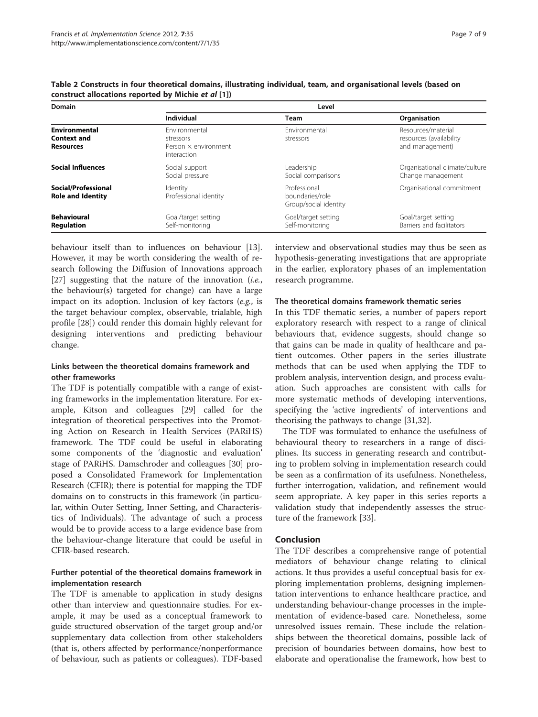| Domain                                                         | Level                                                             |                                                          |                                                                  |  |
|----------------------------------------------------------------|-------------------------------------------------------------------|----------------------------------------------------------|------------------------------------------------------------------|--|
|                                                                | Individual                                                        | Team                                                     | Organisation                                                     |  |
| <b>Environmental</b><br><b>Context and</b><br><b>Resources</b> | Fnvironmental<br>stressors<br>Person x environment<br>interaction | Environmental<br>stressors                               | Resources/material<br>resources (availability<br>and management) |  |
| <b>Social Influences</b>                                       | Social support<br>Social pressure                                 | Leadership<br>Social comparisons                         | Organisational climate/culture<br>Change management              |  |
| Social/Professional<br><b>Role and Identity</b>                | Identity<br>Professional identity                                 | Professional<br>boundaries/role<br>Group/social identity | Organisational commitment                                        |  |
| <b>Behavioural</b><br><b>Regulation</b>                        | Goal/target setting<br>Self-monitoring                            | Goal/target setting<br>Self-monitoring                   | Goal/target setting<br>Barriers and facilitators                 |  |

<span id="page-7-0"></span>Table 2 Constructs in four theoretical domains, illustrating individual, team, and organisational levels (based on construct allocations reported by Michie et al [[1\]](#page-8-0))

behaviour itself than to influences on behaviour [\[13](#page-8-0)]. However, it may be worth considering the wealth of research following the Diffusion of Innovations approach [[27\]](#page-8-0) suggesting that the nature of the innovation  $(i.e.,$ the behaviour(s) targeted for change) can have a large impact on its adoption. Inclusion of key factors (e.g., is the target behaviour complex, observable, trialable, high profile [\[28](#page-8-0)]) could render this domain highly relevant for designing interventions and predicting behaviour change.

### Links between the theoretical domains framework and other frameworks

The TDF is potentially compatible with a range of existing frameworks in the implementation literature. For example, Kitson and colleagues [\[29\]](#page-8-0) called for the integration of theoretical perspectives into the Promoting Action on Research in Health Services (PARiHS) framework. The TDF could be useful in elaborating some components of the 'diagnostic and evaluation' stage of PARiHS. Damschroder and colleagues [\[30](#page-8-0)] proposed a Consolidated Framework for Implementation Research (CFIR); there is potential for mapping the TDF domains on to constructs in this framework (in particular, within Outer Setting, Inner Setting, and Characteristics of Individuals). The advantage of such a process would be to provide access to a large evidence base from the behaviour-change literature that could be useful in CFIR-based research.

### Further potential of the theoretical domains framework in implementation research

The TDF is amenable to application in study designs other than interview and questionnaire studies. For example, it may be used as a conceptual framework to guide structured observation of the target group and/or supplementary data collection from other stakeholders (that is, others affected by performance/nonperformance of behaviour, such as patients or colleagues). TDF-based interview and observational studies may thus be seen as hypothesis-generating investigations that are appropriate in the earlier, exploratory phases of an implementation research programme.

#### The theoretical domains framework thematic series

In this TDF thematic series, a number of papers report exploratory research with respect to a range of clinical behaviours that, evidence suggests, should change so that gains can be made in quality of healthcare and patient outcomes. Other papers in the series illustrate methods that can be used when applying the TDF to problem analysis, intervention design, and process evaluation. Such approaches are consistent with calls for more systematic methods of developing interventions, specifying the 'active ingredients' of interventions and theorising the pathways to change [[31](#page-8-0),[32](#page-9-0)].

The TDF was formulated to enhance the usefulness of behavioural theory to researchers in a range of disciplines. Its success in generating research and contributing to problem solving in implementation research could be seen as a confirmation of its usefulness. Nonetheless, further interrogation, validation, and refinement would seem appropriate. A key paper in this series reports a validation study that independently assesses the structure of the framework [\[33\]](#page-9-0).

## Conclusion

The TDF describes a comprehensive range of potential mediators of behaviour change relating to clinical actions. It thus provides a useful conceptual basis for exploring implementation problems, designing implementation interventions to enhance healthcare practice, and understanding behaviour-change processes in the implementation of evidence-based care. Nonetheless, some unresolved issues remain. These include the relationships between the theoretical domains, possible lack of precision of boundaries between domains, how best to elaborate and operationalise the framework, how best to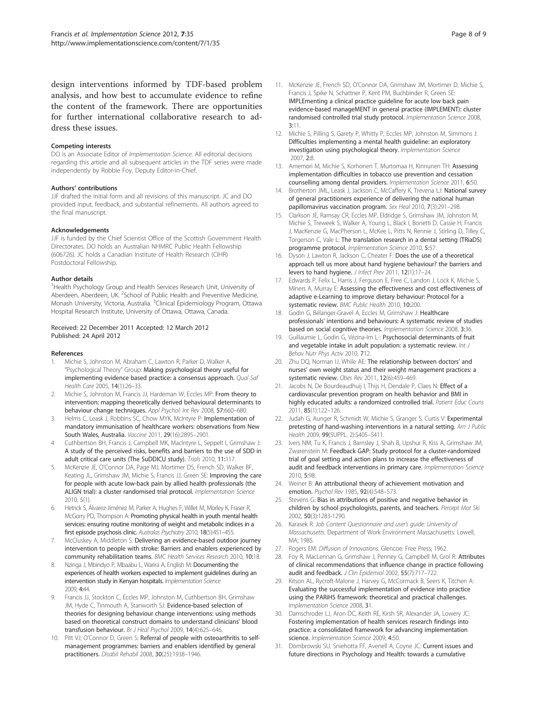<span id="page-8-0"></span>design interventions informed by TDF-based problem analysis, and how best to accumulate evidence to refine the content of the framework. There are opportunities for further international collaborative research to address these issues.

#### Competing interests

DO is an Associate Editor of Implementation Science. All editorial decisions regarding this article and all subsequent articles in the TDF series were made independently by Robbie Foy, Deputy Editor-in-Chief.

#### Authors' contributions

JJF drafted the initial form and all revisions of this manuscript. JC and DO provided input, feedback, and substantial refinements. All authors agreed to the final manuscript.

#### Acknowledgements

JJF is funded by the Chief Scientist Office of the Scottish Government Health Directorates. DO holds an Australian NHMRC Public Health Fellowship (606726). JC holds a Canadian Institute of Health Research (CIHR) Postdoctoral Fellowship.

#### Author details

<sup>1</sup> Health Psychology Group and Health Services Research Unit, University of Aberdeen, Aberdeen, UK. <sup>2</sup>School of Public Health and Preventive Medicine, Monash University, Victoria, Australia. <sup>3</sup>Clinical Epidemiology Program, Ottawa Hospital Research Institute, University of Ottawa, Ottawa, Canada.

#### Received: 22 December 2011 Accepted: 12 March 2012 Published: 24 April 2012

#### References

- Michie S, Johnston M, Abraham C, Lawton R, Parker D, Walker A, "Psychological Theory" Group: Making psychological theory useful for implementing evidence based practice: a consensus approach. Qual Saf Health Care 2005, 14(1):26–33.
- 2. Michie S, Johnston M, Francis JJ, Hardeman W, Eccles MP: From theory to intervention: mapping theoretically derived behavioural determinants to behaviour change techniques. Appl Psychol: Int Rev 2008, 57:660–680.
- Helms C, Leask J, Robbins SC, Chow MYK, McIntyre P: Implementation of mandatory immunisation of healthcare workers: observations from New South Wales, Australia. Vaccine 2011, 29(16):2895–2901.
- 4 Cuthbertson BH, Francis J, Campbell MK, MacIntyre L, Seppelt I, Grimshaw J: A study of the perceived risks, benefits and barriers to the use of SDD in adult critical care units (The SuDDICU study). Trials 2010, 11:117.
- 5. McKenzie JE, O'Connor DA, Page MJ, Mortimer DS, French SD, Walker BF, Keating JL, Grimshaw JM, Michie S, Francis JJ, Green SE: Improving the care for people with acute low-back pain by allied health professionals (the ALIGN trial): a cluster randomised trial protocol. Implementation Science 2010, 5(1).
- 6. Hetrick S, Álvarez-Jiménez M, Parker A, Hughes F, Willet M, Morley K, Fraser R, McGorry PD, Thompson A: Promoting physical health in youth mental health services: ensuring routine monitoring of weight and metabolic indices in a first episode psychosis clinic. Australas Psychiatry 2010, 18(5):451-455.
- 7. McCluskey A, Middleton S: Delivering an evidence-based outdoor journey intervention to people with stroke: Barriers and enablers experienced by community rehabilitation teams. BMC Health Services Research 2010, 10:18.
- 8. Nzinga J, Mbindyo P, Mbaabu L, Warira A, English M: Documenting the experiences of health workers expected to implement guidelines during an intervention study in Kenyan hospitals. Implementation Science 2009, 4:44.
- 9. Francis JJ, Stockton C, Eccles MP, Johnston M, Cuthbertson BH, Grimshaw JM, Hyde C, Tinmouth A, Stanworth SJ: Evidence-based selection of theories for designing behaviour change interventions: using methods based on theoretical construct domains to understand clinicians' blood transfusion behaviour. Br J Heal Psychol 2009, 14(4):625–646.
- 10. Pitt VJ, O'Connor D, Green S: Referral of people with osteoarthritis to selfmanagement programmes: barriers and enablers identified by general practitioners. Disabil Rehabil 2008, 30(25):1938–1946.

12. Michie S, Pilling S, Garety P, Whitty P, Eccles MP, Johnston M, Simmons J: Difficulties implementing a mental health guideline: an exploratory investigation using psychological theory. Implementation Science 2007, 2:8.

3:11.

- 13. Amemori M, Michie S, Korhonen T, Murtomaa H, Kinnunen TH: Assessing implementation difficulties in tobacco use prevention and cessation counselling among dental providers. Implementation Science 2011, 6:50.
- 14. Brotherton JML, Leask J, Jackson C, McCaffery K, Trevena LJ: National survey of general practitioners experience of delivering the national human papillomavirus vaccination program. Sex Heal 2010, 7(3):291–298.
- 15. Clarkson JE, Ramsay CR, Eccles MP, Eldridge S, Grimshaw JM, Johnston M, Michie S, Treweek S, Walker A, Young L, Black I, Bonetti D, Cassie H, Francis J, MacKenzie G, MacPherson L, McKee L, Pitts N, Rennie J, Stirling D, Tilley C, Torgerson C, Vale L: The translation research in a dental setting (TRiaDS) programme protocol. Implementation Science 2010, 5:57.
- 16. Dyson J, Lawton R, Jackson C, Cheater F: Does the use of a theoretical approach tell us more about hand hygiene behaviour? the barriers and levers to hand hygiene. J Infect Prev 2011, 12(1):17–24.
- 17. Edwards P, Felix L, Harris J, Ferguson E, Free C, Landon J, Lock K, Michie S, Miners A, Murray E: Assessing the effectiveness and cost effectiveness of adaptive e-Learning to improve dietary behaviour: Protocol for a systematic review. BMC Public Health 2010, 10:200.
- 18. Godin G, Bélanger-Gravel A, Eccles M, Grimshaw J: Healthcare professionals' intentions and behaviours: A systematic review of studies based on social cognitive theories. Implementation Science 2008, 3:36.
- 19. Guillaumie L, Godin G, Vézina-Im L-: Psychosocial determinants of fruit and vegetable intake in adult population: a systematic review. Int J Behav Nutr Phys Activ 2010, 712.
- 20. Zhu DQ, Norman IJ, While AE: The relationship between doctors' and nurses' own weight status and their weight management practices: a systematic review. Obes Rev 2011, 12(6):459–469.
- 21. Jacobs N, De Bourdeaudhuij I, Thijs H, Dendale P, Claes N: Effect of a cardiovascular prevention program on health behavior and BMI in highly educated adults: a randomized controlled trial. Patient Educ Couns 2011, 85(1):122–126.
- 22. Judah G, Aunger R, Schmidt W, Michie S, Granger S, Curtis V: Experimental pretesting of hand-washing interventions in a natural setting. Am J Public Health 2009, 99(SUPPL. 2):S405-S411.
- 23. Ivers NM, Tu K, Francis J, Barnsley J, Shah B, Upshur R, Kiss A, Grimshaw JM, Zwarenstein M: Feedback GAP: Study protocol for a cluster-randomized trial of goal setting and action plans to increase the effectiveness of audit and feedback interventions in primary care. Implementation Science 2010, 5:98.
- 24. Weiner B: An attributional theory of achievement motivation and emotion. Psychol Rev 1985, 92(4):548–573.
- 25. Stevens G: Bias in attributions of positive and negative behavior in children by school psychologists, parents, and teachers. Percept Mot Ski 2002, 50(3):1283-1290.
- 26. Karasek R: Job Content Questionnaire and user's guide: University of Massachusetts. Department of Work Environment Massachusetts: Lowell, MA; 1985.
- 27. Rogers EM: Diffusion of Innovations. Glencoe: Free Press; 1962.
- 28. Foy R, MacLennan G, Grimshaw J, Penney G, Campbell M, Grol R: Attributes of clinical recommendations that influence change in practice following audit and feedback. J Clin Epidemiol 2002, 55(7):717-722
- 29. Kitson AL, Rycroft-Malone J, Harvey G, McCormack B, Seers K, Titchen A: Evaluating the successful implementation of evidence into practice using the PARiHS framework: theoretical and practical challenges. Implementation Science 2008, 31.
- 30. Damschroder LJ, Aron DC, Keith RE, Kirsh SR, Alexander JA, Lowery JC: Fostering implementation of health services research findings into practice: a consolidated framework for advancing implementation science. Implementation Science 2009, 4:50.
- 31. Dombrowski SU, Sniehotta FF, Avenell A, Coyne JC: Current issues and future directions in Psychology and Health: towards a cumulative